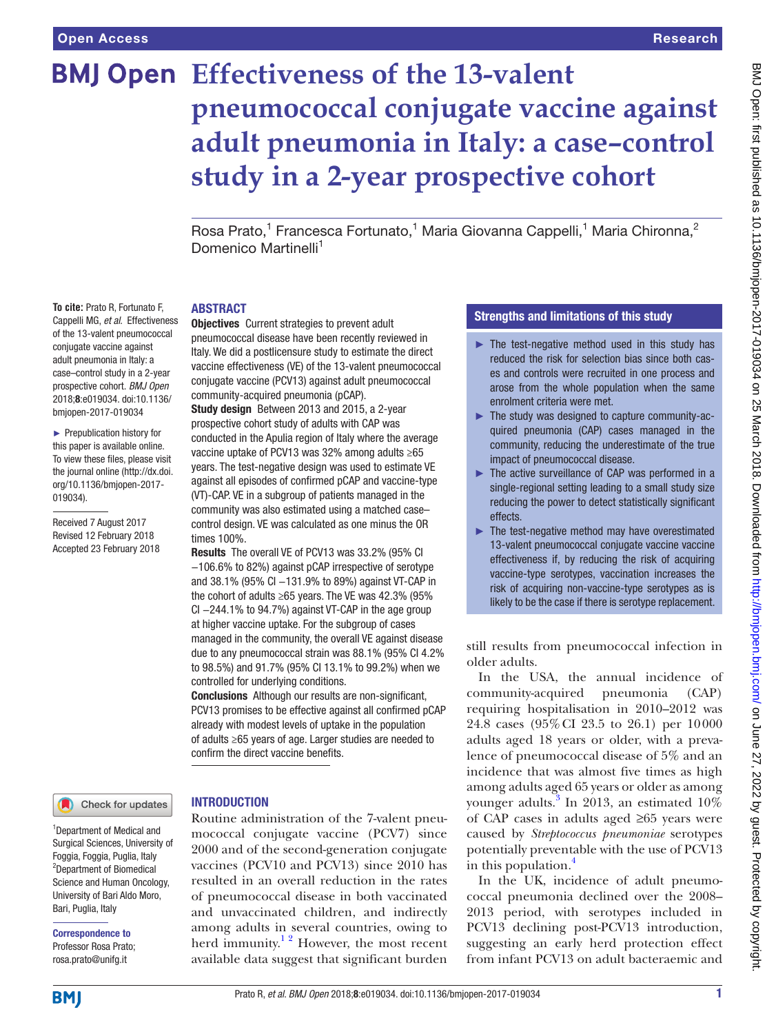**To cite:** Prato R, Fortunato F, Cappelli MG, *et al*. Effectiveness of the 13-valent pneumococcal conjugate vaccine against adult pneumonia in Italy: a case–control study in a 2-year prospective cohort. *BMJ Open* 2018;8:e019034. doi:10.1136/ bmjopen-2017-019034 ► Prepublication history for this paper is available online. To view these files, please visit the journal online [\(http://dx.doi.](http://dx.doi.org/10.1136/bmjopen-2017-019034) [org/10.1136/bmjopen-2017-](http://dx.doi.org/10.1136/bmjopen-2017-019034)

[019034\)](http://dx.doi.org/10.1136/bmjopen-2017-019034).

Received 7 August 2017 Revised 12 February 2018 Accepted 23 February 2018

# **BMJ Open** Effectiveness of the 13-valent **pneumococcal conjugate vaccine against adult pneumonia in Italy: a case–control study in a 2-year prospective cohort**

Rosa Prato,<sup>1</sup> Francesca Fortunato,<sup>1</sup> Maria Giovanna Cappelli,<sup>1</sup> Maria Chironna,<sup>2</sup> Domenico Martinelli<sup>1</sup>

#### **ABSTRACT**

Objectives Current strategies to prevent adult pneumococcal disease have been recently reviewed in Italy. We did a postlicensure study to estimate the direct vaccine effectiveness (VE) of the 13-valent pneumococcal conjugate vaccine (PCV13) against adult pneumococcal community-acquired pneumonia (pCAP).

Study design Between 2013 and 2015, a 2-year prospective cohort study of adults with CAP was conducted in the Apulia region of Italy where the average vaccine uptake of PCV13 was 32% among adults ≥65 years. The test-negative design was used to estimate VE against all episodes of confirmed pCAP and vaccine-type (VT)-CAP. VE in a subgroup of patients managed in the community was also estimated using a matched case– control design. VE was calculated as one minus the OR times 100%.

Results The overall VE of PCV13 was 33.2% (95% CI −106.6% to 82%) against pCAP irrespective of serotype and 38.1% (95% CI −131.9% to 89%) against VT-CAP in the cohort of adults ≥65 years. The VE was 42.3% (95% CI −244.1% to 94.7%) against VT-CAP in the age group at higher vaccine uptake. For the subgroup of cases managed in the community, the overall VE against disease due to any pneumococcal strain was 88.1% (95% CI 4.2% to 98.5%) and 91.7% (95% CI 13.1% to 99.2%) when we controlled for underlying conditions.

Conclusions Although our results are non-significant, PCV13 promises to be effective against all confirmed pCAP already with modest levels of uptake in the population of adults ≥65 years of age. Larger studies are needed to confirm the direct vaccine benefits.

Routine administration of the 7-valent pneu-

herd immunity.<sup>12</sup> However, the most recent available data suggest that significant burden

#### Check for updates

#### **INTRODUCTION**

1 Department of Medical and Surgical Sciences, University of Foggia, Foggia, Puglia, Italy <sup>2</sup>Department of Biomedical Science and Human Oncology, University of Bari Aldo Moro, Bari, Puglia, Italy

Correspondence to Professor Rosa Prato; rosa.prato@unifg.it

mococcal conjugate vaccine (PCV7) since 2000 and of the second-generation conjugate vaccines (PCV10 and PCV13) since 2010 has resulted in an overall reduction in the rates of pneumococcal disease in both vaccinated and unvaccinated children, and indirectly among adults in several countries, owing to

### Strengths and limitations of this study

- $\blacktriangleright$  The test-negative method used in this study has reduced the risk for selection bias since both cases and controls were recruited in one process and arose from the whole population when the same enrolment criteria were met.
- ► The study was designed to capture community-acquired pneumonia (CAP) cases managed in the community, reducing the underestimate of the true impact of pneumococcal disease.
- ► The active surveillance of CAP was performed in a single-regional setting leading to a small study size reducing the power to detect statistically significant effects.
- $\blacktriangleright$  The test-negative method may have overestimated 13-valent pneumococcal conjugate vaccine vaccine effectiveness if, by reducing the risk of acquiring vaccine-type serotypes, vaccination increases the risk of acquiring non-vaccine-type serotypes as is likely to be the case if there is serotype replacement.

still results from pneumococcal infection in older adults.

In the USA, the annual incidence of community-acquired pneumonia (CAP) requiring hospitalisation in 2010–2012 was 24.8 cases (95%CI 23.5 to 26.1) per 10000 adults aged 18 years or older, with a prevalence of pneumococcal disease of 5% and an incidence that was almost five times as high among adults aged 65 years or older as among younger adults.<sup>[3](#page-7-1)</sup> In 2013, an estimated  $10\%$ of CAP cases in adults aged ≥65 years were caused by *Streptococcus pneumoniae* serotypes potentially preventable with the use of PCV13 in this population.<sup>[4](#page-7-2)</sup>

In the UK, incidence of adult pneumococcal pneumonia declined over the 2008– 2013 period, with serotypes included in PCV13 declining post-PCV13 introduction, suggesting an early herd protection effect from infant PCV13 on adult bacteraemic and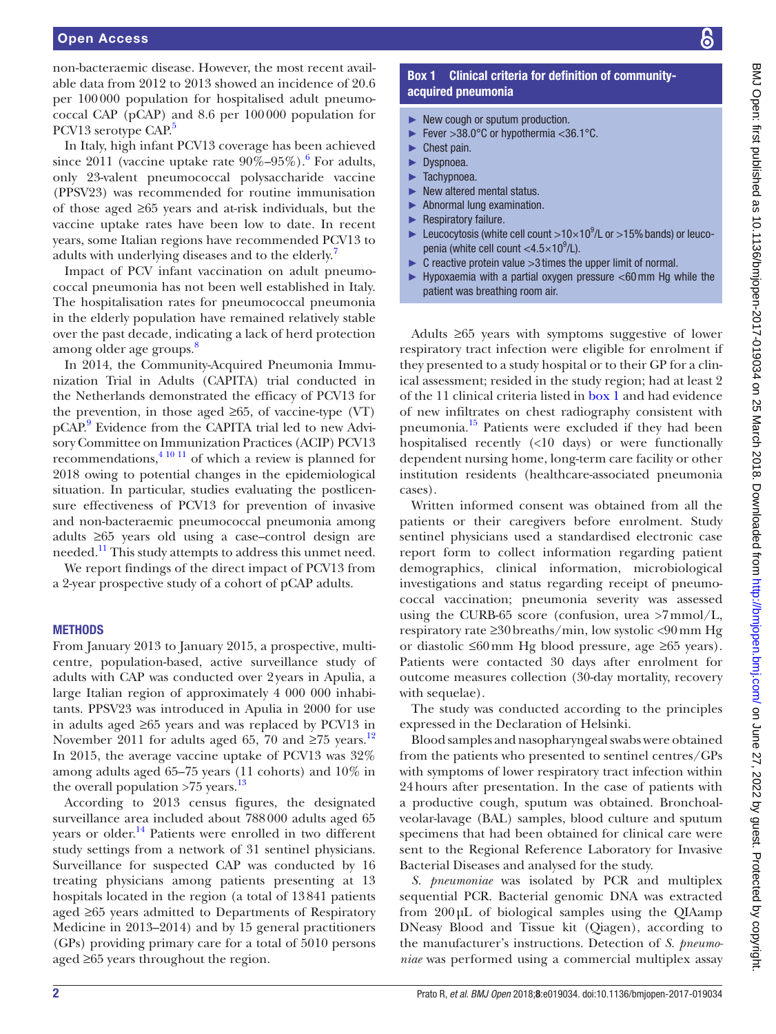non-bacteraemic disease. However, the most recent available data from 2012 to 2013 showed an incidence of 20.6 per 100000 population for hospitalised adult pneumococcal CAP (pCAP) and 8.6 per 100000 population for PCV13 serotype CAP.<sup>5</sup>

In Italy, high infant PCV13 coverage has been achieved since 2011 (vaccine uptake rate  $90\% - 95\%$ ). For adults, only 23-valent pneumococcal polysaccharide vaccine (PPSV23) was recommended for routine immunisation of those aged ≥65 years and at-risk individuals, but the vaccine uptake rates have been low to date. In recent years, some Italian regions have recommended PCV13 to adults with underlying diseases and to the elderly.<sup>[7](#page-7-5)</sup>

Impact of PCV infant vaccination on adult pneumococcal pneumonia has not been well established in Italy. The hospitalisation rates for pneumococcal pneumonia in the elderly population have remained relatively stable over the past decade, indicating a lack of herd protection among older age groups. $\delta$ 

In 2014, the Community-Acquired Pneumonia Immunization Trial in Adults (CAPITA) trial conducted in the Netherlands demonstrated the efficacy of PCV13 for the prevention, in those aged  $\geq 65$ , of vaccine-type (VT) pCAP.<sup>[9](#page-7-7)</sup> Evidence from the CAPITA trial led to new Advisory Committee on Immunization Practices (ACIP) PCV13 recommendations[,4 10 11](#page-7-2) of which a review is planned for 2018 owing to potential changes in the epidemiological situation. In particular, studies evaluating the postlicensure effectiveness of PCV13 for prevention of invasive and non-bacteraemic pneumococcal pneumonia among adults ≥65 years old using a case–control design are needed.<sup>11</sup> This study attempts to address this unmet need.

We report findings of the direct impact of PCV13 from a 2-year prospective study of a cohort of pCAP adults.

#### **METHODS**

From January 2013 to January 2015, a prospective, multicentre, population-based, active surveillance study of adults with CAP was conducted over 2years in Apulia, a large Italian region of approximately 4 000 000 inhabitants. PPSV23 was introduced in Apulia in 2000 for use in adults aged ≥65 years and was replaced by PCV13 in November 2011 for adults aged 65, 70 and ≥75 years.<sup>12</sup> In 2015, the average vaccine uptake of PCV13 was 32% among adults aged 65–75 years (11 cohorts) and 10% in the overall population  $>75$  years.<sup>[13](#page-7-10)</sup>

According to 2013 census figures, the designated surveillance area included about 788000 adults aged 65 years or older.<sup>[14](#page-7-11)</sup> Patients were enrolled in two different study settings from a network of 31 sentinel physicians. Surveillance for suspected CAP was conducted by 16 treating physicians among patients presenting at 13 hospitals located in the region (a total of 13841 patients aged ≥65 years admitted to Departments of Respiratory Medicine in 2013–2014) and by 15 general practitioners (GPs) providing primary care for a total of 5010 persons aged ≥65 years throughout the region.

# Box 1 Clinical criteria for definition of communityacquired pneumonia

- <span id="page-1-0"></span>► New cough or sputum production.
- ► Fever >38.0°C or hypothermia <36.1°C.
- ► Chest pain.
- ► Dyspnoea.
- ► Tachypnoea.
- ► New altered mental status.
- ► Abnormal lung examination.
- Respiratory failure.
- Eucocytosis (white cell count  $>10\times10^{9}$ /L or  $>15%$  bands) or leucopenia (white cell count  $<$ 4.5 $\times$ 10<sup>9</sup>/L).
- $\blacktriangleright$  C reactive protein value  $>3$  times the upper limit of normal.
- ► Hypoxaemia with a partial oxygen pressure <60 mm Hg while the patient was breathing room air.

Adults ≥65 years with symptoms suggestive of lower respiratory tract infection were eligible for enrolment if they presented to a study hospital or to their GP for a clinical assessment; resided in the study region; had at least 2 of the 11 clinical criteria listed in [box](#page-1-0) 1 and had evidence of new infiltrates on chest radiography consistent with pneumonia.[15](#page-7-12) Patients were excluded if they had been hospitalised recently (<10 days) or were functionally dependent nursing home, long-term care facility or other institution residents (healthcare-associated pneumonia cases).

Written informed consent was obtained from all the patients or their caregivers before enrolment. Study sentinel physicians used a standardised electronic case report form to collect information regarding patient demographics, clinical information, microbiological investigations and status regarding receipt of pneumococcal vaccination; pneumonia severity was assessed using the CURB-65 score (confusion, urea >7mmol/L, respiratory rate ≥30breaths/min, low systolic <90mm Hg or diastolic ≤60mm Hg blood pressure, age ≥65 years). Patients were contacted 30 days after enrolment for outcome measures collection (30-day mortality, recovery with sequelae).

The study was conducted according to the principles expressed in the Declaration of Helsinki.

Blood samples and nasopharyngeal swabs were obtained from the patients who presented to sentinel centres/GPs with symptoms of lower respiratory tract infection within 24hours after presentation. In the case of patients with a productive cough, sputum was obtained. Bronchoalveolar-lavage (BAL) samples, blood culture and sputum specimens that had been obtained for clinical care were sent to the Regional Reference Laboratory for Invasive Bacterial Diseases and analysed for the study.

*S. pneumoniae* was isolated by PCR and multiplex sequential PCR. Bacterial genomic DNA was extracted from 200µL of biological samples using the QIAamp DNeasy Blood and Tissue kit (Qiagen), according to the manufacturer's instructions. Detection of *S. pneumoniae* was performed using a commercial multiplex assay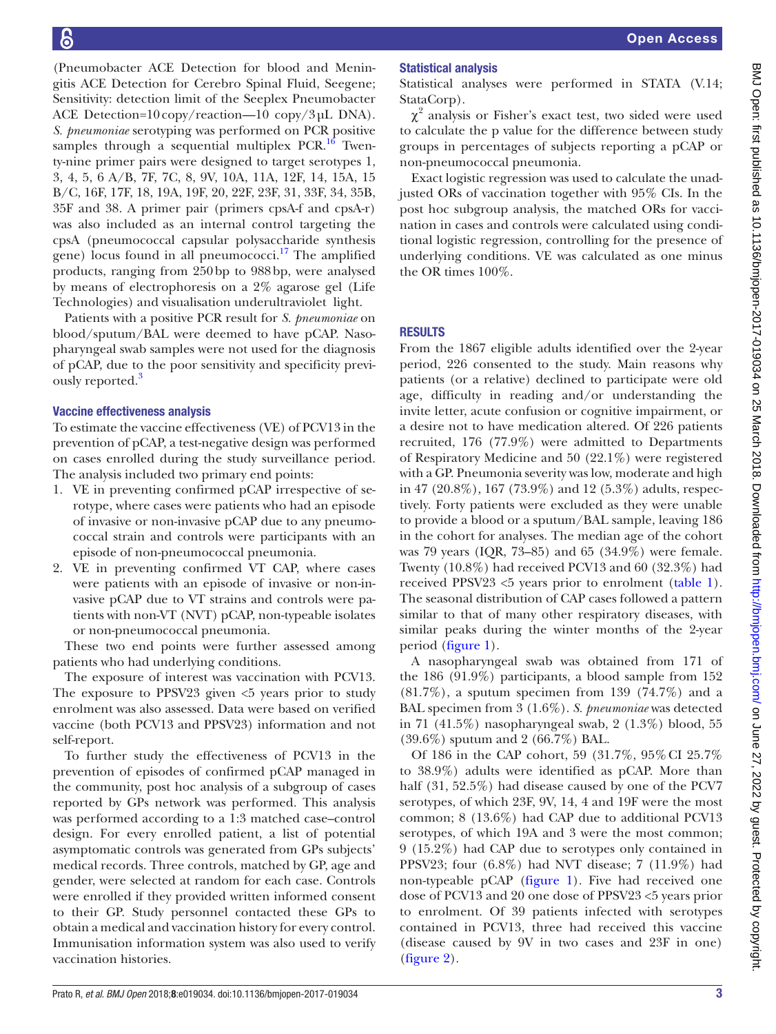(Pneumobacter ACE Detection for blood and Meningitis ACE Detection for Cerebro Spinal Fluid, Seegene; Sensitivity: detection limit of the Seeplex Pneumobacter ACE Detection=10copy/reaction—10 copy/3µL DNA). *S. pneumoniae* serotyping was performed on PCR positive samples through a sequential multiplex  $PCR<sup>16</sup>$  $PCR<sup>16</sup>$  $PCR<sup>16</sup>$  Twenty-nine primer pairs were designed to target serotypes 1, 3, 4, 5, 6 A/B, 7F, 7C, 8, 9V, 10A, 11A, 12F, 14, 15A, 15 B/C, 16F, 17F, 18, 19A, 19F, 20, 22F, 23F, 31, 33F, 34, 35B, 35F and 38. A primer pair (primers cpsA-f and cpsA-r) was also included as an internal control targeting the cpsA (pneumococcal capsular polysaccharide synthesis gene) locus found in all pneumococci.<sup>17</sup> The amplified products, ranging from 250bp to 988bp, were analysed by means of electrophoresis on a 2% agarose gel (Life Technologies) and visualisation underultraviolet light.

Patients with a positive PCR result for *S. pneumoniae* on blood/sputum/BAL were deemed to have pCAP. Nasopharyngeal swab samples were not used for the diagnosis of pCAP, due to the poor sensitivity and specificity previ-ously reported.<sup>[3](#page-7-1)</sup>

#### Vaccine effectiveness analysis

To estimate the vaccine effectiveness (VE) of PCV13 in the prevention of pCAP, a test-negative design was performed on cases enrolled during the study surveillance period. The analysis included two primary end points:

- 1. VE in preventing confirmed pCAP irrespective of serotype, where cases were patients who had an episode of invasive or non-invasive pCAP due to any pneumococcal strain and controls were participants with an episode of non-pneumococcal pneumonia.
- 2. VE in preventing confirmed VT CAP, where cases were patients with an episode of invasive or non-invasive pCAP due to VT strains and controls were patients with non-VT (NVT) pCAP, non-typeable isolates or non-pneumococcal pneumonia.

These two end points were further assessed among patients who had underlying conditions.

The exposure of interest was vaccination with PCV13. The exposure to PPSV23 given <5 years prior to study enrolment was also assessed. Data were based on verified vaccine (both PCV13 and PPSV23) information and not self-report.

To further study the effectiveness of PCV13 in the prevention of episodes of confirmed pCAP managed in the community, post hoc analysis of a subgroup of cases reported by GPs network was performed. This analysis was performed according to a 1:3 matched case–control design. For every enrolled patient, a list of potential asymptomatic controls was generated from GPs subjects' medical records. Three controls, matched by GP, age and gender, were selected at random for each case. Controls were enrolled if they provided written informed consent to their GP. Study personnel contacted these GPs to obtain a medical and vaccination history for every control. Immunisation information system was also used to verify vaccination histories.

# Statistical analysis

Statistical analyses were performed in STATA (V.14; StataCorp).

 $\chi^2$  analysis or Fisher's exact test, two sided were used to calculate the p value for the difference between study groups in percentages of subjects reporting a pCAP or non-pneumococcal pneumonia.

Exact logistic regression was used to calculate the unadjusted ORs of vaccination together with 95% CIs. In the post hoc subgroup analysis, the matched ORs for vaccination in cases and controls were calculated using conditional logistic regression, controlling for the presence of underlying conditions. VE was calculated as one minus the OR times 100%.

**RESULTS** 

From the 1867 eligible adults identified over the 2-year period, 226 consented to the study. Main reasons why patients (or a relative) declined to participate were old age, difficulty in reading and/or understanding the invite letter, acute confusion or cognitive impairment, or a desire not to have medication altered. Of 226 patients recruited, 176 (77.9%) were admitted to Departments of Respiratory Medicine and 50 (22.1%) were registered with a GP. Pneumonia severity was low, moderate and high in 47 (20.8%), 167 (73.9%) and 12 (5.3%) adults, respectively. Forty patients were excluded as they were unable to provide a blood or a sputum/BAL sample, leaving 186 in the cohort for analyses. The median age of the cohort was 79 years (IQR, 73–85) and 65 (34.9%) were female. Twenty (10.8%) had received PCV13 and 60 (32.3%) had received PPSV23 <5 years prior to enrolment [\(table](#page-3-0) 1). The seasonal distribution of CAP cases followed a pattern similar to that of many other respiratory diseases, with similar peaks during the winter months of the 2-year period ([figure](#page-4-0) 1).

A nasopharyngeal swab was obtained from 171 of the 186 (91.9%) participants, a blood sample from 152  $(81.7\%)$ , a sputum specimen from 139  $(74.7\%)$  and a BAL specimen from 3 (1.6%). *S. pneumoniae* was detected in 71 (41.5%) nasopharyngeal swab, 2 (1.3%) blood, 55 (39.6%) sputum and 2 (66.7%) BAL.

Of 186 in the CAP cohort, 59 (31.7%, 95%CI 25.7% to 38.9%) adults were identified as pCAP. More than half (31, 52.5%) had disease caused by one of the PCV7 serotypes, of which 23F, 9V, 14, 4 and 19F were the most common; 8 (13.6%) had CAP due to additional PCV13 serotypes, of which 19A and 3 were the most common; 9 (15.2%) had CAP due to serotypes only contained in PPSV23; four (6.8%) had NVT disease; 7 (11.9%) had non-typeable pCAP [\(figure](#page-4-0) 1). Five had received one dose of PCV13 and 20 one dose of PPSV23 <5 years prior to enrolment. Of 39 patients infected with serotypes contained in PCV13, three had received this vaccine (disease caused by 9V in two cases and 23F in one) [\(figure](#page-4-1) 2).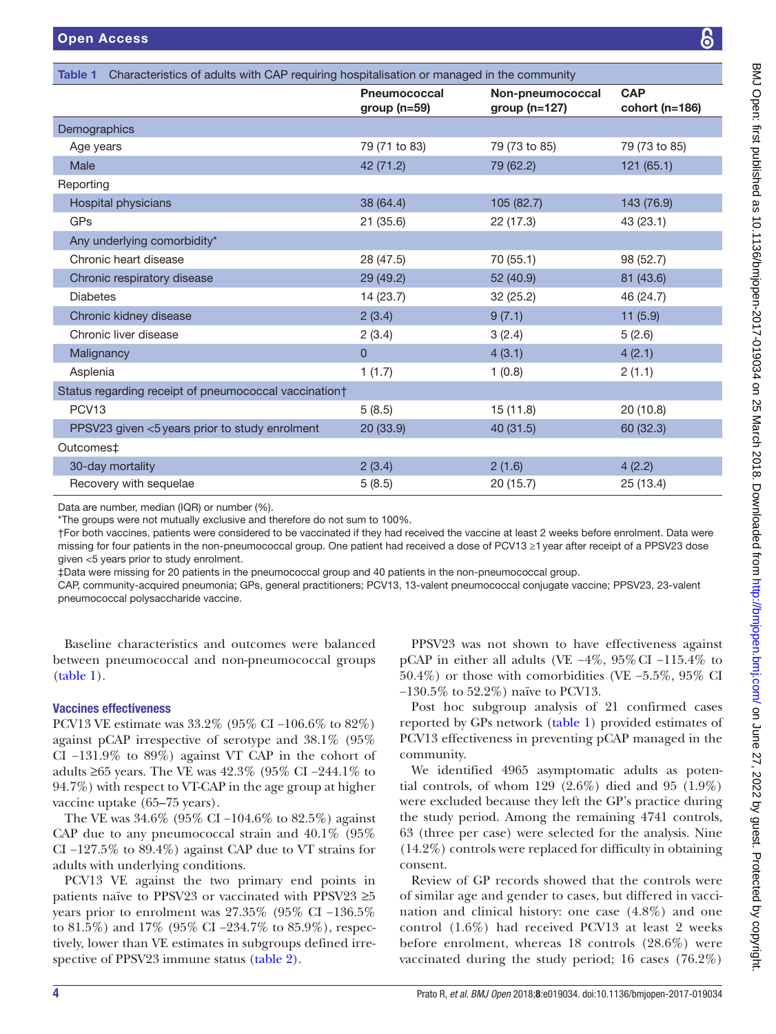<span id="page-3-0"></span>

| Characteristics of adults with CAP requiring hospitalisation or managed in the community<br>Table 1 |                                       |                                       |                              |  |  |  |
|-----------------------------------------------------------------------------------------------------|---------------------------------------|---------------------------------------|------------------------------|--|--|--|
|                                                                                                     | <b>Pneumococcal</b><br>group $(n=59)$ | Non-pneumococcal<br>group ( $n=127$ ) | <b>CAP</b><br>cohort (n=186) |  |  |  |
| Demographics                                                                                        |                                       |                                       |                              |  |  |  |
| Age years                                                                                           | 79 (71 to 83)                         | 79 (73 to 85)                         | 79 (73 to 85)                |  |  |  |
| Male                                                                                                | 42 (71.2)                             | 79 (62.2)                             | 121(65.1)                    |  |  |  |
| Reporting                                                                                           |                                       |                                       |                              |  |  |  |
| Hospital physicians                                                                                 | 38 (64.4)                             | 105 (82.7)                            | 143 (76.9)                   |  |  |  |
| GPs                                                                                                 | 21(35.6)                              | 22 (17.3)                             | 43 (23.1)                    |  |  |  |
| Any underlying comorbidity*                                                                         |                                       |                                       |                              |  |  |  |
| Chronic heart disease                                                                               | 28 (47.5)                             | 70 (55.1)                             | 98 (52.7)                    |  |  |  |
| Chronic respiratory disease                                                                         | 29 (49.2)                             | 52 (40.9)                             | 81 (43.6)                    |  |  |  |
| <b>Diabetes</b>                                                                                     | 14 (23.7)                             | 32 (25.2)                             | 46 (24.7)                    |  |  |  |
| Chronic kidney disease                                                                              | 2(3.4)                                | 9(7.1)                                | 11(5.9)                      |  |  |  |
| Chronic liver disease                                                                               | 2(3.4)                                | 3(2.4)                                | 5(2.6)                       |  |  |  |
| Malignancy                                                                                          | $\mathbf{0}$                          | 4(3.1)                                | 4(2.1)                       |  |  |  |
| Asplenia                                                                                            | 1(1.7)                                | 1(0.8)                                | 2(1.1)                       |  |  |  |
| Status regarding receipt of pneumococcal vaccination†                                               |                                       |                                       |                              |  |  |  |
| PCV <sub>13</sub>                                                                                   | 5(8.5)                                | 15(11.8)                              | 20(10.8)                     |  |  |  |
| PPSV23 given <5 years prior to study enrolment                                                      | 20 (33.9)                             | 40 (31.5)                             | 60 (32.3)                    |  |  |  |
| Outcomes <sup>‡</sup>                                                                               |                                       |                                       |                              |  |  |  |
| 30-day mortality                                                                                    | 2(3.4)                                | 2(1.6)                                | 4(2.2)                       |  |  |  |
| Recovery with sequelae                                                                              | 5(8.5)                                | 20 (15.7)                             | 25 (13.4)                    |  |  |  |

Data are number, median (IQR) or number (%).

\*The groups were not mutually exclusive and therefore do not sum to 100%.

†For both vaccines, patients were considered to be vaccinated if they had received the vaccine at least 2 weeks before enrolment. Data were missing for four patients in the non-pneumococcal group. One patient had received a dose of PCV13 ≥1year after receipt of a PPSV23 dose given <5 years prior to study enrolment.

‡Data were missing for 20 patients in the pneumococcal group and 40 patients in the non-pneumococcal group.

CAP, community-acquired pneumonia; GPs, general practitioners; PCV13, 13-valent pneumococcal conjugate vaccine; PPSV23, 23-valent pneumococcal polysaccharide vaccine.

Baseline characteristics and outcomes were balanced between pneumococcal and non-pneumococcal groups ([table](#page-3-0) 1).

# Vaccines effectiveness

PCV13 VE estimate was 33.2% (95% CI −106.6% to 82%) against pCAP irrespective of serotype and 38.1% (95% CI −131.9% to 89%) against VT CAP in the cohort of adults ≥65 years. The VE was 42.3% (95% CI −244.1% to 94.7%) with respect to VT-CAP in the age group at higher vaccine uptake (65–75 years).

The VE was 34.6% (95% CI −104.6% to 82.5%) against CAP due to any pneumococcal strain and 40.1% (95% CI −127.5% to 89.4%) against CAP due to VT strains for adults with underlying conditions.

PCV13 VE against the two primary end points in patients naïve to PPSV23 or vaccinated with PPSV23 ≥5 years prior to enrolment was 27.35% (95% CI −136.5% to 81.5%) and 17% (95% CI −234.7% to 85.9%), respectively, lower than VE estimates in subgroups defined irrespective of PPSV23 immune status [\(table](#page-5-0) 2).

PPSV23 was not shown to have effectiveness against pCAP in either all adults (VE −4%, 95%CI −115.4% to 50.4%) or those with comorbidities (VE −5.5%, 95% CI −130.5% to 52.2%) naïve to PCV13.

Post hoc subgroup analysis of 21 confirmed cases reported by GPs network ([table](#page-3-0) 1) provided estimates of PCV13 effectiveness in preventing pCAP managed in the community.

We identified 4965 asymptomatic adults as potential controls, of whom 129 (2.6%) died and 95 (1.9%) were excluded because they left the GP's practice during the study period. Among the remaining 4741 controls, 63 (three per case) were selected for the analysis. Nine (14.2%) controls were replaced for difficulty in obtaining consent.

Review of GP records showed that the controls were of similar age and gender to cases, but differed in vaccination and clinical history: one case (4.8%) and one control (1.6%) had received PCV13 at least 2 weeks before enrolment, whereas 18 controls (28.6%) were vaccinated during the study period; 16 cases (76.2%)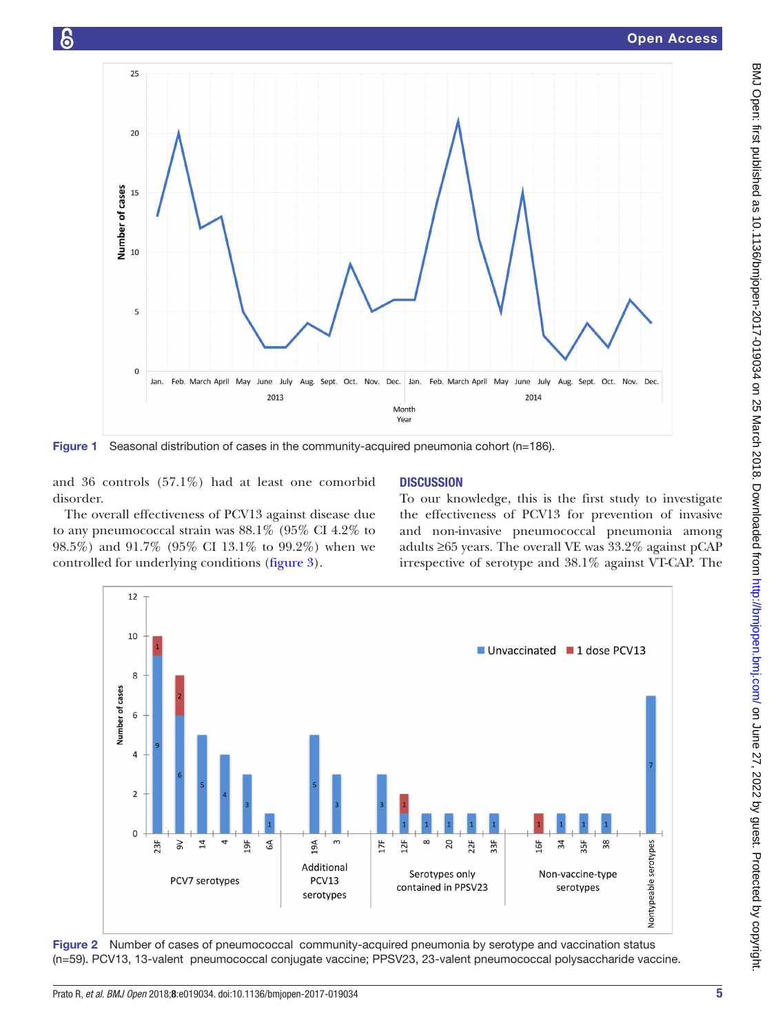

<span id="page-4-0"></span>Figure 1 Seasonal distribution of cases in the community-acquired pneumonia cohort (n=186).

and 36 controls (57.1%) had at least one comorbid disorder.

န

The overall effectiveness of PCV13 against disease due to any pneumococcal strain was 88.1% (95% CI 4.2% to 98.5%) and 91.7% (95% CI 13.1% to 99.2%) when we controlled for underlying conditions [\(figure](#page-5-1) 3).

# **DISCUSSION**

To our knowledge, this is the first study to investigate the effectiveness of PCV13 for prevention of invasive and non-invasive pneumococcal pneumonia among adults ≥65 years. The overall VE was 33.2% against pCAP irrespective of serotype and 38.1% against VT-CAP. The



<span id="page-4-1"></span>Figure 2 Number of cases of pneumococcal community-acquired pneumonia by serotype and vaccination status (n=59). PCV13, 13-valent pneumococcal conjugate vaccine; PPSV23, 23-valent pneumococcal polysaccharide vaccine.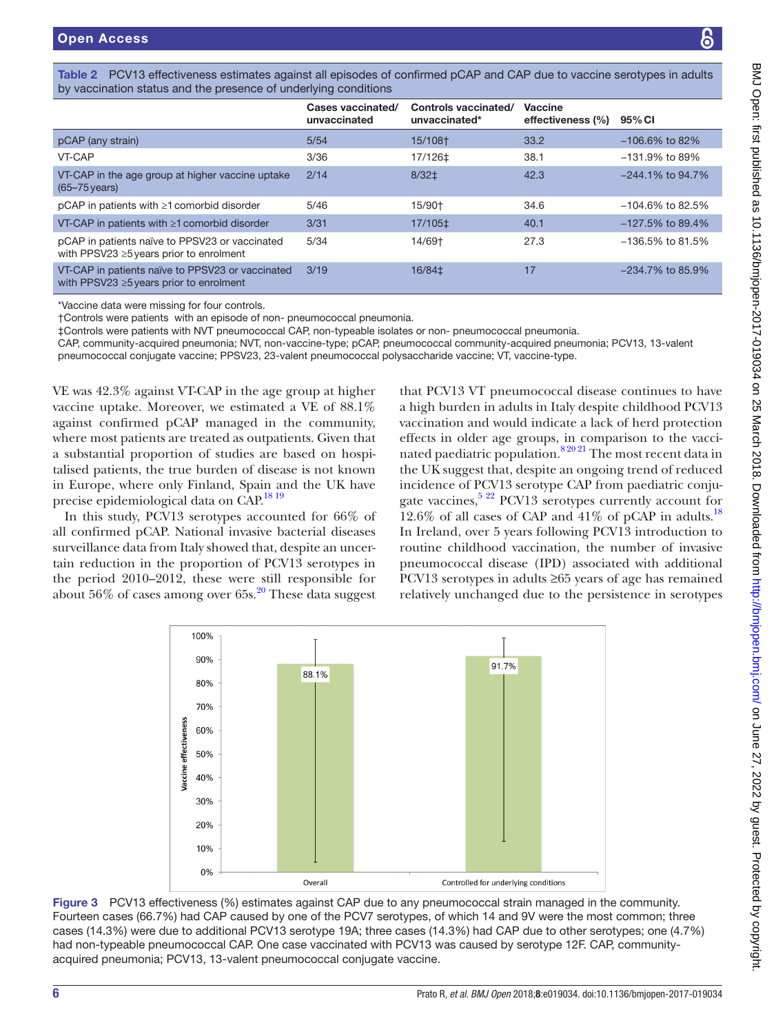|  | Table 2 PCV13 effectiveness estimates against all episodes of confirmed pCAP and CAP due to vaccine serotypes in adults |
|--|-------------------------------------------------------------------------------------------------------------------------|
|  | by vaccination status and the presence of underlying conditions                                                         |

<span id="page-5-0"></span>

|                                                                                                   | Cases vaccinated/<br>unvaccinated | Controls vaccinated/<br>unvaccinated* | Vaccine<br>effectiveness (%) | 95% CI              |
|---------------------------------------------------------------------------------------------------|-----------------------------------|---------------------------------------|------------------------------|---------------------|
| pCAP (any strain)                                                                                 | 5/54                              | 15/108†                               | 33.2                         | $-106.6\%$ to 82%   |
| VT-CAP                                                                                            | 3/36                              | 17/126‡                               | 38.1                         | $-131.9\%$ to 89%   |
| VT-CAP in the age group at higher vaccine uptake<br>$(65 - 75$ years)                             | 2/14                              | 8/32 <sup>‡</sup>                     | 42.3                         | $-244.1\%$ to 94.7% |
| $pCAP$ in patients with $\geq 1$ comorbid disorder                                                | 5/46                              | 15/90†                                | 34.6                         | $-104.6\%$ to 82.5% |
| VT-CAP in patients with $\geq 1$ comorbid disorder                                                | 3/31                              | 17/105‡                               | 40.1                         | $-127.5\%$ to 89.4% |
| pCAP in patients naïve to PPSV23 or vaccinated<br>with PPSV23 $\geq$ 5 years prior to enrolment   | 5/34                              | 14/69†                                | 27.3                         | $-136.5\%$ to 81.5% |
| VT-CAP in patients naïve to PPSV23 or vaccinated<br>with PPSV23 $\geq$ 5 years prior to enrolment | 3/19                              | 16/84‡                                | 17                           | $-234.7\%$ to 85.9% |

\*Vaccine data were missing for four controls.

†Controls were patients with an episode of non- pneumococcal pneumonia.

‡Controls were patients with NVT pneumococcal CAP, non-typeable isolates or non- pneumococcal pneumonia.

CAP, community-acquired pneumonia; NVT, non-vaccine-type; pCAP, pneumococcal community-acquired pneumonia; PCV13, 13-valent pneumococcal conjugate vaccine; PPSV23, 23-valent pneumococcal polysaccharide vaccine; VT, vaccine-type.

VE was 42.3% against VT-CAP in the age group at higher vaccine uptake. Moreover, we estimated a VE of 88.1% against confirmed pCAP managed in the community, where most patients are treated as outpatients. Given that a substantial proportion of studies are based on hospitalised patients, the true burden of disease is not known in Europe, where only Finland, Spain and the UK have precise epidemiological data on CAP.<sup>[18 19](#page-8-2)</sup>

In this study, PCV13 serotypes accounted for 66% of all confirmed pCAP. National invasive bacterial diseases surveillance data from Italy showed that, despite an uncertain reduction in the proportion of PCV13 serotypes in the period 2010–2012, these were still responsible for about  $56\%$  of cases among over  $65s$ .<sup>20</sup> These data suggest

that PCV13 VT pneumococcal disease continues to have a high burden in adults in Italy despite childhood PCV13 vaccination and would indicate a lack of herd protection effects in older age groups, in comparison to the vacci-nated paediatric population.<sup>[8 20 21](#page-7-6)</sup> The most recent data in the UK suggest that, despite an ongoing trend of reduced incidence of PCV13 serotype CAP from paediatric conjugate vaccines,<sup>5 22</sup> PCV13 serotypes currently account for 12.6% of all cases of CAP and  $41\%$  of pCAP in adults.<sup>[18](#page-8-2)</sup> In Ireland, over 5 years following PCV13 introduction to routine childhood vaccination, the number of invasive pneumococcal disease (IPD) associated with additional PCV13 serotypes in adults ≥65 years of age has remained relatively unchanged due to the persistence in serotypes



<span id="page-5-1"></span>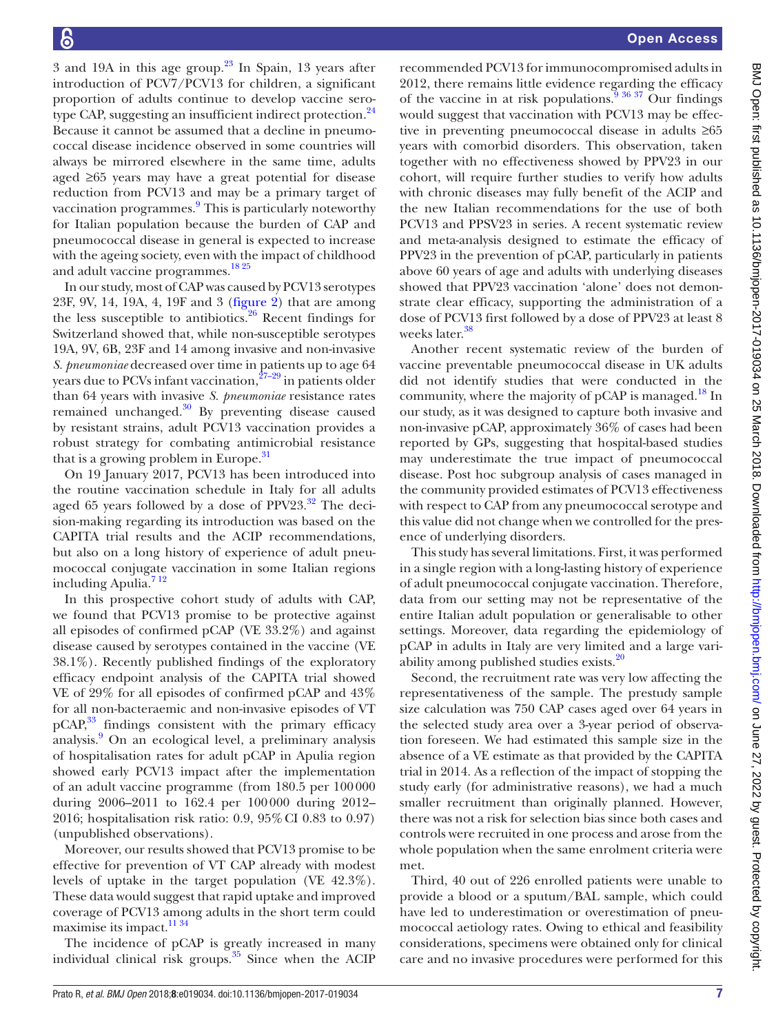3 and 19A in this age group. $23$  In Spain, 13 years after introduction of PCV7/PCV13 for children, a significant proportion of adults continue to develop vaccine sero-type CAP, suggesting an insufficient indirect protection.<sup>[24](#page-8-5)</sup> Because it cannot be assumed that a decline in pneumococcal disease incidence observed in some countries will always be mirrored elsewhere in the same time, adults aged ≥65 years may have a great potential for disease reduction from PCV13 and may be a primary target of vaccination programmes.<sup>9</sup> This is particularly noteworthy for Italian population because the burden of CAP and pneumococcal disease in general is expected to increase with the ageing society, even with the impact of childhood and adult vaccine programmes.<sup>18 25</sup>

In our study, most of CAP was caused by PCV13 serotypes 23F, 9V, 14, 19A, 4, 19F and 3 ([figure](#page-4-1) 2) that are among the less susceptible to antibiotics.<sup>[26](#page-8-6)</sup> Recent findings for Switzerland showed that, while non-susceptible serotypes 19A, 9V, 6B, 23F and 14 among invasive and non-invasive *S. pneumoniae* decreased over time in patients up to age 64 years due to PCVs infant vaccination,<sup>27-29</sup> in patients older than 64 years with invasive *S. pneumoniae* resistance rates remained unchanged[.30](#page-8-8) By preventing disease caused by resistant strains, adult PCV13 vaccination provides a robust strategy for combating antimicrobial resistance that is a growing problem in Europe.<sup>[31](#page-8-9)</sup>

On 19 January 2017, PCV13 has been introduced into the routine vaccination schedule in Italy for all adults aged 65 years followed by a dose of  $PPV23<sup>32</sup>$ . The decision-making regarding its introduction was based on the CAPITA trial results and the ACIP recommendations, but also on a long history of experience of adult pneumococcal conjugate vaccination in some Italian regions including Apulia[.7 12](#page-7-5)

In this prospective cohort study of adults with CAP, we found that PCV13 promise to be protective against all episodes of confirmed pCAP (VE 33.2%) and against disease caused by serotypes contained in the vaccine (VE 38.1%). Recently published findings of the exploratory efficacy endpoint analysis of the CAPITA trial showed VE of 29% for all episodes of confirmed pCAP and 43% for all non-bacteraemic and non-invasive episodes of VT pCAP,<sup>33</sup> findings consistent with the primary efficacy analysis.<sup>[9](#page-7-7)</sup> On an ecological level, a preliminary analysis of hospitalisation rates for adult pCAP in Apulia region showed early PCV13 impact after the implementation of an adult vaccine programme (from 180.5 per 100000 during 2006–2011 to 162.4 per 100000 during 2012– 2016; hospitalisation risk ratio: 0.9, 95%CI 0.83 to 0.97) (unpublished observations).

Moreover, our results showed that PCV13 promise to be effective for prevention of VT CAP already with modest levels of uptake in the target population (VE 42.3%). These data would suggest that rapid uptake and improved coverage of PCV13 among adults in the short term could maximise its impact.<sup>[11 34](#page-7-8)</sup>

The incidence of pCAP is greatly increased in many individual clinical risk groups. $35$  Since when the ACIP

recommended PCV13 for immunocompromised adults in 2012, there remains little evidence regarding the efficacy of the vaccine in at risk populations.<sup>9</sup>  $36\frac{37}{9}$  Our findings would suggest that vaccination with PCV13 may be effective in preventing pneumococcal disease in adults ≥65 years with comorbid disorders. This observation, taken together with no effectiveness showed by PPV23 in our cohort, will require further studies to verify how adults with chronic diseases may fully benefit of the ACIP and the new Italian recommendations for the use of both PCV13 and PPSV23 in series. A recent systematic review and meta-analysis designed to estimate the efficacy of PPV23 in the prevention of pCAP, particularly in patients above 60 years of age and adults with underlying diseases showed that PPV23 vaccination 'alone' does not demonstrate clear efficacy, supporting the administration of a dose of PCV13 first followed by a dose of PPV23 at least 8 weeks later.<sup>[38](#page-8-13)</sup>

Another recent systematic review of the burden of vaccine preventable pneumococcal disease in UK adults did not identify studies that were conducted in the community, where the majority of  $pCAP$  is managed.<sup>18</sup> In our study, as it was designed to capture both invasive and non-invasive pCAP, approximately 36% of cases had been reported by GPs, suggesting that hospital-based studies may underestimate the true impact of pneumococcal disease. Post hoc subgroup analysis of cases managed in the community provided estimates of PCV13 effectiveness with respect to CAP from any pneumococcal serotype and this value did not change when we controlled for the presence of underlying disorders.

This study has several limitations. First, it was performed in a single region with a long-lasting history of experience of adult pneumococcal conjugate vaccination. Therefore, data from our setting may not be representative of the entire Italian adult population or generalisable to other settings. Moreover, data regarding the epidemiology of pCAP in adults in Italy are very limited and a large variability among published studies exists.[20](#page-8-3)

Second, the recruitment rate was very low affecting the representativeness of the sample. The prestudy sample size calculation was 750 CAP cases aged over 64 years in the selected study area over a 3-year period of observation foreseen. We had estimated this sample size in the absence of a VE estimate as that provided by the CAPITA trial in 2014. As a reflection of the impact of stopping the study early (for administrative reasons), we had a much smaller recruitment than originally planned. However, there was not a risk for selection bias since both cases and controls were recruited in one process and arose from the whole population when the same enrolment criteria were met.

Third, 40 out of 226 enrolled patients were unable to provide a blood or a sputum/BAL sample, which could have led to underestimation or overestimation of pneumococcal aetiology rates. Owing to ethical and feasibility considerations, specimens were obtained only for clinical care and no invasive procedures were performed for this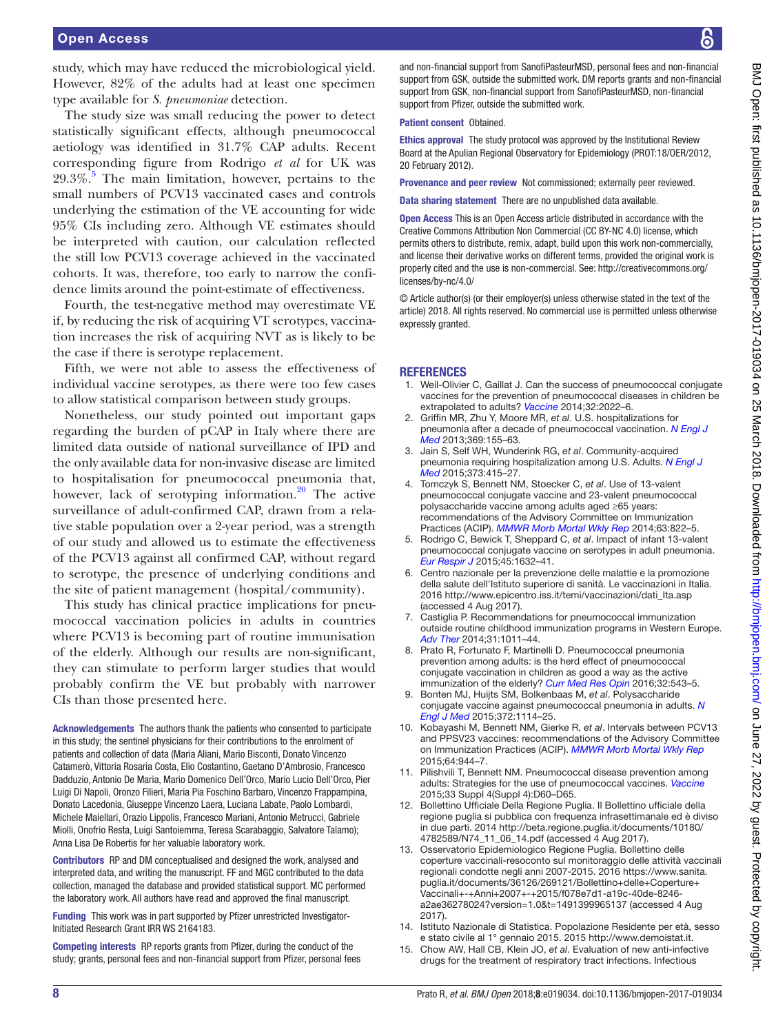study, which may have reduced the microbiological yield. However, 82% of the adults had at least one specimen type available for *S. pneumoniae* detection.

The study size was small reducing the power to detect statistically significant effects, although pneumococcal aetiology was identified in 31.7% CAP adults. Recent corresponding figure from Rodrigo *et al* for UK was  $29.3\%$ <sup>5</sup>. The main limitation, however, pertains to the small numbers of PCV13 vaccinated cases and controls underlying the estimation of the VE accounting for wide 95% CIs including zero. Although VE estimates should be interpreted with caution, our calculation reflected the still low PCV13 coverage achieved in the vaccinated cohorts. It was, therefore, too early to narrow the confidence limits around the point-estimate of effectiveness.

Fourth, the test-negative method may overestimate VE if, by reducing the risk of acquiring VT serotypes, vaccination increases the risk of acquiring NVT as is likely to be the case if there is serotype replacement.

Fifth, we were not able to assess the effectiveness of individual vaccine serotypes, as there were too few cases to allow statistical comparison between study groups.

Nonetheless, our study pointed out important gaps regarding the burden of pCAP in Italy where there are limited data outside of national surveillance of IPD and the only available data for non-invasive disease are limited to hospitalisation for pneumococcal pneumonia that, however, lack of serotyping information.<sup>20</sup> The active surveillance of adult-confirmed CAP, drawn from a relative stable population over a 2-year period, was a strength of our study and allowed us to estimate the effectiveness of the PCV13 against all confirmed CAP, without regard to serotype, the presence of underlying conditions and the site of patient management (hospital/community).

This study has clinical practice implications for pneumococcal vaccination policies in adults in countries where PCV13 is becoming part of routine immunisation of the elderly. Although our results are non-significant, they can stimulate to perform larger studies that would probably confirm the VE but probably with narrower CIs than those presented here.

Acknowledgements The authors thank the patients who consented to participate in this study; the sentinel physicians for their contributions to the enrolment of patients and collection of data (Maria Aliani, Mario Bisconti, Donato Vincenzo Catamerò, Vittoria Rosaria Costa, Elio Costantino, Gaetano D'Ambrosio, Francesco Dadduzio, Antonio De Maria, Mario Domenico Dell'Orco, Mario Lucio Dell'Orco, Pier Luigi Di Napoli, Oronzo Filieri, Maria Pia Foschino Barbaro, Vincenzo Frappampina, Donato Lacedonia, Giuseppe Vincenzo Laera, Luciana Labate, Paolo Lombardi, Michele Maiellari, Orazio Lippolis, Francesco Mariani, Antonio Metrucci, Gabriele Miolli, Onofrio Resta, Luigi Santoiemma, Teresa Scarabaggio, Salvatore Talamo); Anna Lisa De Robertis for her valuable laboratory work.

Contributors RP and DM conceptualised and designed the work, analysed and interpreted data, and writing the manuscript. FF and MGC contributed to the data collection, managed the database and provided statistical support. MC performed the laboratory work. All authors have read and approved the final manuscript.

Funding This work was in part supported by Pfizer unrestricted Investigator-Initiated Research Grant IRR WS 2164183.

Competing interests RP reports grants from Pfizer, during the conduct of the study; grants, personal fees and non-financial support from Pfizer, personal fees

and non-financial support from SanofiPasteurMSD, personal fees and non-financial support from GSK, outside the submitted work. DM reports grants and non-financial support from GSK, non-financial support from SanofiPasteurMSD, non-financial support from Pfizer, outside the submitted work.

#### Patient consent Obtained.

Ethics approval The study protocol was approved by the Institutional Review Board at the Apulian Regional Observatory for Epidemiology (PROT:18/OER/2012, 20 February 2012).

Provenance and peer review Not commissioned; externally peer reviewed.

Data sharing statement There are no unpublished data available.

Open Access This is an Open Access article distributed in accordance with the Creative Commons Attribution Non Commercial (CC BY-NC 4.0) license, which permits others to distribute, remix, adapt, build upon this work non-commercially, and license their derivative works on different terms, provided the original work is properly cited and the use is non-commercial. See: [http://creativecommons.org/](http://creativecommons.org/licenses/by-nc/4.0/) [licenses/by-nc/4.0/](http://creativecommons.org/licenses/by-nc/4.0/)

© Article author(s) (or their employer(s) unless otherwise stated in the text of the article) 2018. All rights reserved. No commercial use is permitted unless otherwise expressly granted.

#### **REFERENCES**

- <span id="page-7-0"></span>1. Weil-Olivier C, Gaillat J. Can the success of pneumococcal conjugate vaccines for the prevention of pneumococcal diseases in children be extrapolated to adults? *[Vaccine](http://dx.doi.org/10.1016/j.vaccine.2014.02.008)* 2014;32:2022–6.
- 2. Griffin MR, Zhu Y, Moore MR, *et al*. U.S. hospitalizations for pneumonia after a decade of pneumococcal vaccination. *[N Engl J](http://dx.doi.org/10.1056/NEJMoa1209165)  [Med](http://dx.doi.org/10.1056/NEJMoa1209165)* 2013;369:155–63.
- <span id="page-7-1"></span>3. Jain S, Self WH, Wunderink RG, *et al*. Community-acquired pneumonia requiring hospitalization among U.S. Adults. *[N Engl J](http://dx.doi.org/10.1056/NEJMoa1500245)  [Med](http://dx.doi.org/10.1056/NEJMoa1500245)* 2015;373:415–27.
- <span id="page-7-2"></span>4. Tomczyk S, Bennett NM, Stoecker C, *et al*. Use of 13-valent pneumococcal conjugate vaccine and 23-valent pneumococcal polysaccharide vaccine among adults aged ≥65 years: recommendations of the Advisory Committee on Immunization Practices (ACIP). *[MMWR Morb Mortal Wkly Rep](http://www.ncbi.nlm.nih.gov/pubmed/25233284)* 2014;63:822–5.
- <span id="page-7-3"></span>5. Rodrigo C, Bewick T, Sheppard C, *et al*. Impact of infant 13-valent pneumococcal conjugate vaccine on serotypes in adult pneumonia. *[Eur Respir J](http://dx.doi.org/10.1183/09031936.00183614)* 2015;45:1632–41.
- <span id="page-7-4"></span>6. Centro nazionale per la prevenzione delle malattie e la promozione della salute dell'Istituto superiore di sanità. Le vaccinazioni in Italia. 2016 [http://www.epicentro.iss.it/temi/vaccinazioni/dati\\_Ita.asp](http://www.epicentro.iss.it/temi/vaccinazioni/dati_Ita.asp) (accessed 4 Aug 2017).
- <span id="page-7-5"></span>7. Castiglia P. Recommendations for pneumococcal immunization outside routine childhood immunization programs in Western Europe. *[Adv Ther](http://dx.doi.org/10.1007/s12325-014-0157-1)* 2014;31:1011–44.
- <span id="page-7-6"></span>8. Prato R, Fortunato F, Martinelli D. Pneumococcal pneumonia prevention among adults: is the herd effect of pneumococcal conjugate vaccination in children as good a way as the active immunization of the elderly? *[Curr Med Res Opin](http://dx.doi.org/10.1185/03007995.2015.1131150)* 2016;32:543–5.
- <span id="page-7-7"></span>9. Bonten MJ, Huijts SM, Bolkenbaas M, *et al*. Polysaccharide conjugate vaccine against pneumococcal pneumonia in adults. *[N](http://dx.doi.org/10.1056/NEJMoa1408544)  [Engl J Med](http://dx.doi.org/10.1056/NEJMoa1408544)* 2015;372:1114–25.
- 10. Kobayashi M, Bennett NM, Gierke R, *et al*. Intervals between PCV13 and PPSV23 vaccines: recommendations of the Advisory Committee on Immunization Practices (ACIP). *[MMWR Morb Mortal Wkly Rep](http://dx.doi.org/10.15585/mmwr.mm6434a4)* 2015;64:944–7.
- <span id="page-7-8"></span>11. Pilishvili T, Bennett NM. Pneumococcal disease prevention among adults: Strategies for the use of pneumococcal vaccines. *[Vaccine](http://dx.doi.org/10.1016/j.vaccine.2015.05.102)* 2015;33 Suppl 4(Suppl 4):D60–D65.
- <span id="page-7-9"></span>12. Bollettino Ufficiale Della Regione Puglia. Il Bollettino ufficiale della regione puglia si pubblica con frequenza infrasettimanale ed è diviso in due parti. 2014 [http://beta.regione.puglia.it/documents/10180/](http://beta.regione.puglia.it/documents/10180/4782589/N74_11_06_14.pdf) [4782589/N74\\_11\\_06\\_14.pdf](http://beta.regione.puglia.it/documents/10180/4782589/N74_11_06_14.pdf) (accessed 4 Aug 2017).
- <span id="page-7-10"></span>13. Osservatorio Epidemiologico Regione Puglia. Bollettino delle coperture vaccinali-resoconto sul monitoraggio delle attività vaccinali regionali condotte negli anni 2007-2015. 2016 [https://www.sanita.](https://www.sanita.puglia.it/documents/36126/269121/Bollettino+delle+Coperture+Vaccinali+-+Anni+2007+-+2015/f078e7d1-a19c-40de-8246-a2ae36278024?version=1.0&t=1491399965137) [puglia.it/documents/36126/269121/Bollettino+delle+Coperture+](https://www.sanita.puglia.it/documents/36126/269121/Bollettino+delle+Coperture+Vaccinali+-+Anni+2007+-+2015/f078e7d1-a19c-40de-8246-a2ae36278024?version=1.0&t=1491399965137) [Vaccinali+-+Anni+2007+-+2015/f078e7d1-a19c-40de-8246](https://www.sanita.puglia.it/documents/36126/269121/Bollettino+delle+Coperture+Vaccinali+-+Anni+2007+-+2015/f078e7d1-a19c-40de-8246-a2ae36278024?version=1.0&t=1491399965137) [a2ae36278024?version=1.0&t=1491399965137](https://www.sanita.puglia.it/documents/36126/269121/Bollettino+delle+Coperture+Vaccinali+-+Anni+2007+-+2015/f078e7d1-a19c-40de-8246-a2ae36278024?version=1.0&t=1491399965137) (accessed 4 Aug 2017).
- <span id="page-7-11"></span>14. Istituto Nazionale di Statistica. Popolazione Residente per età, sesso e stato civile al 1° gennaio 2015. 2015 [http://www.demoistat.it.](http://www.demoistat.it)
- <span id="page-7-12"></span>15. Chow AW, Hall CB, Klein JO, *et al*. Evaluation of new anti-infective drugs for the treatment of respiratory tract infections. Infectious